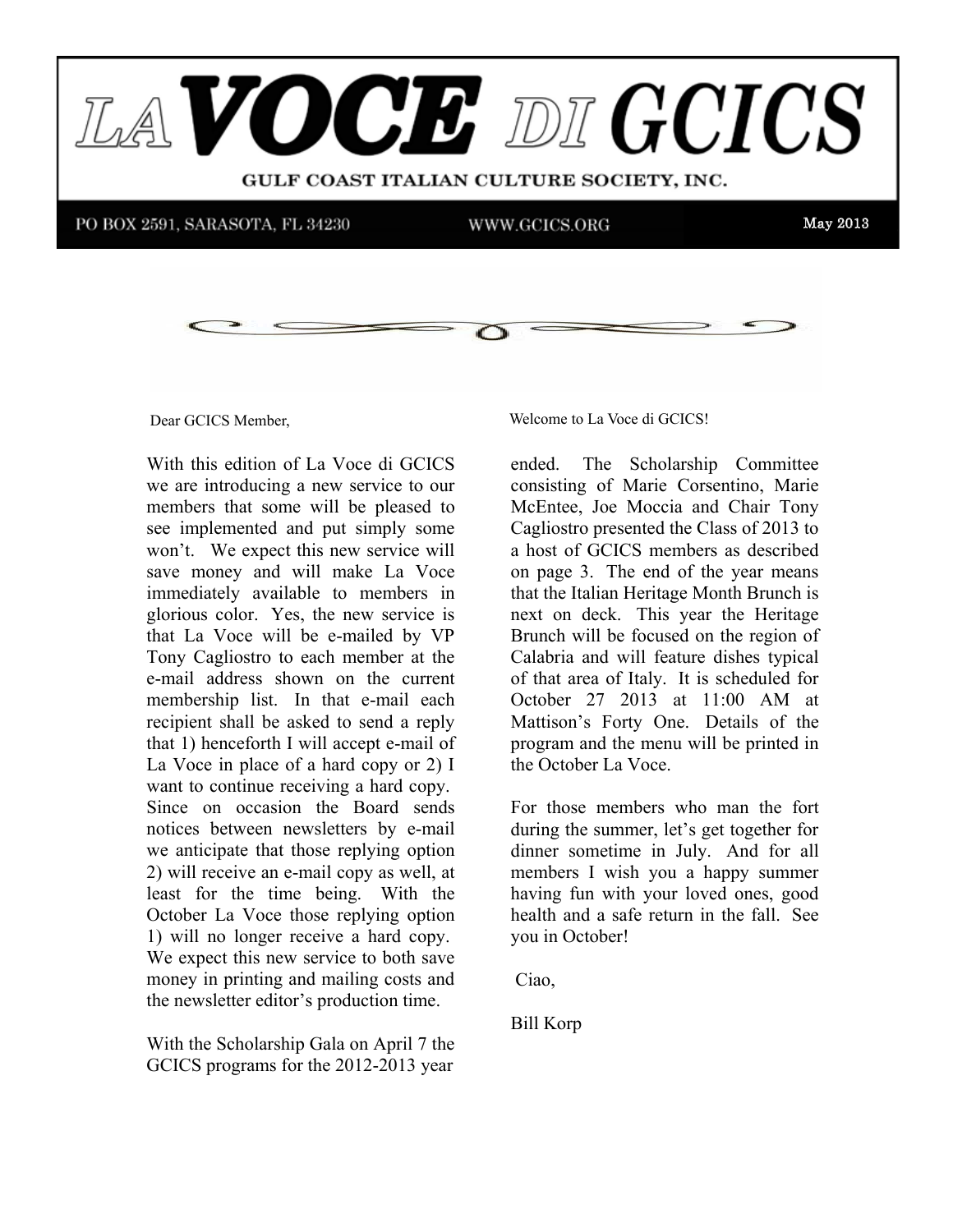

Dear GCICS Member,

With this edition of La Voce di GCICS  $W$ III THIS CULTUM OF LA VOCC UPLE we are introducing a new service to our members that some will be pleased to see implemented and put simply some won't. We expect this new service will save money and will make La Voce immediately available to members in minimeductly available to members in Tony Cagliostro to each member at the e-mail address shown on the current membership list. In that e-mail each recipient shall be asked to send a reply  $t_{\text{total}}$  is that the support and we need that the  $t_{\text{total}}$  of that 1) henceforth I will accept e-mail of that  $\frac{1}{2}$  henceforth I will accept contain that La Voce in place of a hard copy or 2) I Since on occasion the Board sends we anticipate that those replying option  $\frac{2}{3}$ , which receive an e-main eepy as well, at least for the time being. With the Presst for the time being. While the 1) will no longer receive a hard copy. We expect this new service to both save the newsletter editor's production time. where  $\mathcal{L}_{\mathbf{r}}$  is the receiver  $\mathcal{L}_{\mathbf{r}}$  and  $\mathcal{L}_{\mathbf{r}}$  and  $\mathcal{L}_{\mathbf{r}}$ that La Voce will be e-mailed by VP want to continue receiving a hard copy. notices between newsletters by e-mail 2) will receive an e-mail copy as well, at money in printing and mailing costs and

With the Scholarship Gala on April 7 the GCICS programs for the 2012-2013 year

14 Dear GCICS Member, welcome to La Voce di GCICS!

ended. The Scholarship Committee  $\frac{1}{2}$  can us with the unit  $\frac{1}{2}$  unit  $\frac{1}{2}$  under the unit of unanimous winner, the theory winner, the theory winner, the theory winner, the theory winner, the three terms of the terms of the terms of the term consisting of Marie Corsentino, Marie McEntee, Joe Moccia and Chair Tony a host of GCICS members as described on page 3. The end of the year means that the Italian Heritage Month Brunch is  $\frac{d}{dt} = \frac{1}{\pi} \frac{1}{\pi} \frac{\pi}{\pi}$ next on deck. This year the Heritage Brunch will be focused on the region of Calabria and will feature dishes typical October 27 2013 at 11:00 AM at Mattison's Forty One. Details of the  $\frac{1}{2}$  measure is  $\frac{1}{2}$  only  $\frac{1}{2}$  such  $\frac{1}{2}$  only  $\frac{1}{2}$  to  $\frac{1}{2}$  in  $\frac{1}{2}$ program and the menu will be printed in the October La Voce. Cagliostro presented the Class of 2013 to of that area of Italy. It is scheduled for

during the summer, let's get together for dinner sometime in July. And for all members I wish you a happy summer having fun with your loved ones, good  $\frac{1}{2}$  are received. Full letters as the received. Full letters are received. Full letters are received. The received. The received of  $\frac{1}{2}$  and  $\frac{1}{2}$  are received. The received of  $\frac{1}{2}$  and  $\frac{1}{2}$  are r health and a safe return in the fall. See you in October! For those members who man the fort

Ciao,

 $D<sub>11</sub> V<sub>0</sub>$ Bill Korp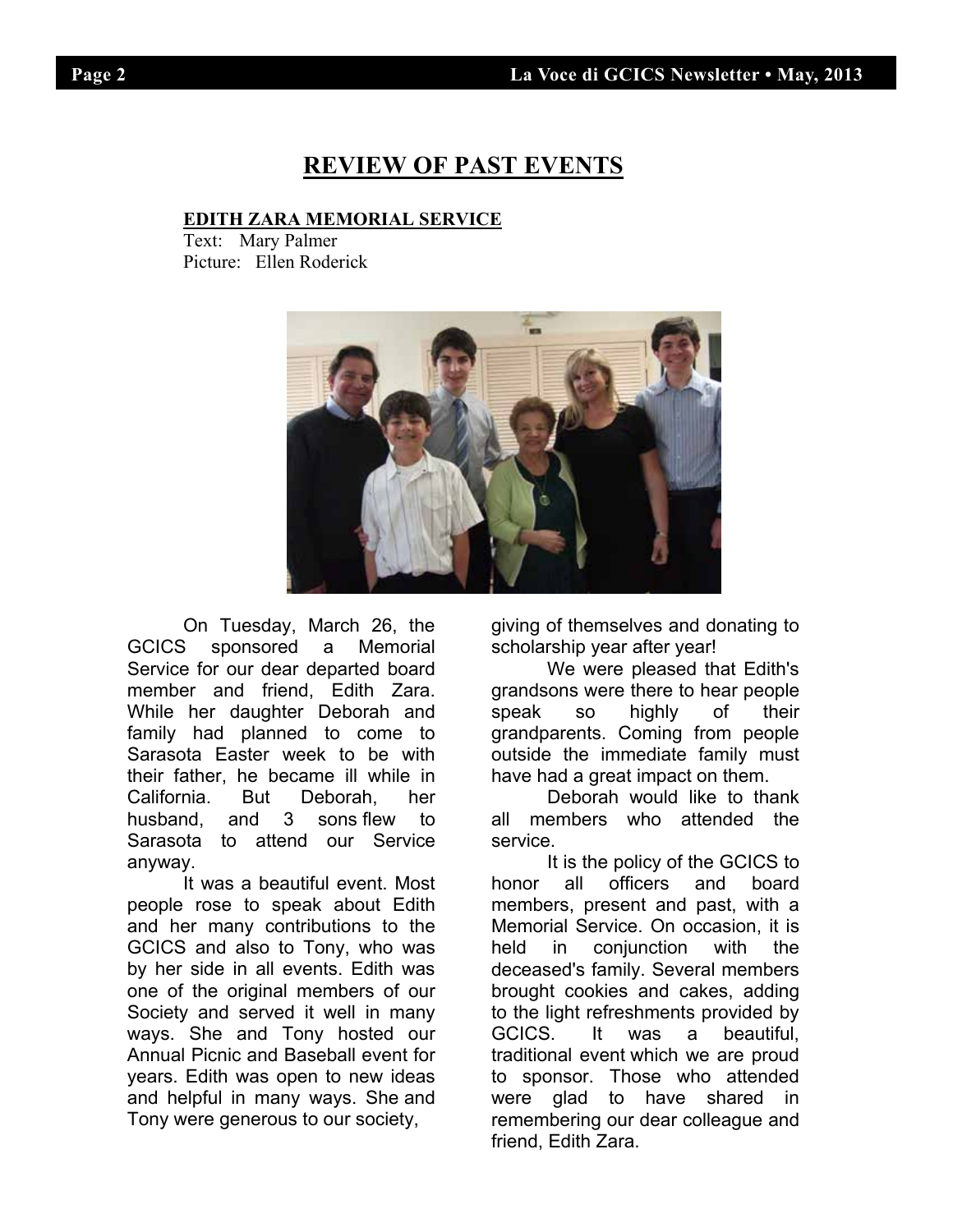## **REVIEW OF PAST EVENTS**

### **EDITH ZARA MEMORIAL SERVICE**

Text: Mary Palmer Picture: Ellen Roderick



On Tuesday, March 26, the GCICS sponsored a Memorial Service for our dear departed board member and friend, Edith Zara. While her daughter Deborah and family had planned to come to Sarasota Easter week to be with their father, he became ill while in California. But Deborah, her husband, and 3 sons flew to Sarasota to attend our Service anyway.

 It was a beautiful event. Most people rose to speak about Edith and her many contributions to the GCICS and also to Tony, who was by her side in all events. Edith was one of the original members of our Society and served it well in many ways. She and Tony hosted our Annual Picnic and Baseball event for years. Edith was open to new ideas and helpful in many ways. She and Tony were generous to our society,

giving of themselves and donating to scholarship year after year!

 We were pleased that Edith's grandsons were there to hear people speak so highly of their grandparents. Coming from people outside the immediate family must have had a great impact on them.

 Deborah would like to thank all members who attended the service.

 It is the policy of the GCICS to honor all officers and board members, present and past, with a Memorial Service. On occasion, it is held in conjunction with the deceased's family. Several members brought cookies and cakes, adding to the light refreshments provided by GCICS. It was a beautiful, traditional event which we are proud to sponsor. Those who attended were glad to have shared in remembering our dear colleague and friend, Edith Zara.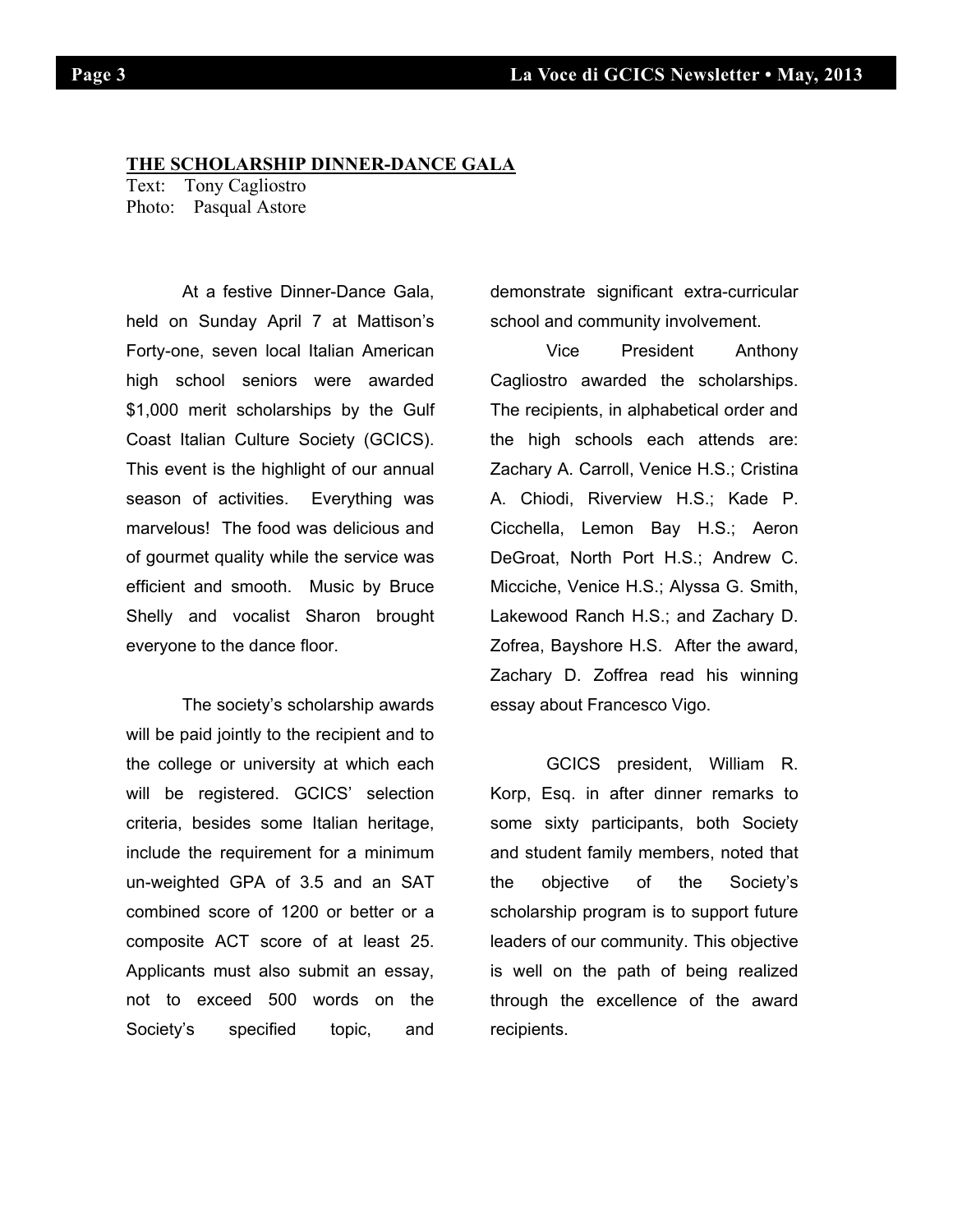#### **THE SCHOLARSHIP DINNER-DANCE GALA**

Text: Tony Cagliostro Photo: Pasqual Astore

At a festive Dinner-Dance Gala, held on Sunday April 7 at Mattison's Forty-one, seven local Italian American high school seniors were awarded \$1,000 merit scholarships by the Gulf Coast Italian Culture Society (GCICS). This event is the highlight of our annual season of activities. Everything was marvelous! The food was delicious and of gourmet quality while the service was efficient and smooth. Music by Bruce Shelly and vocalist Sharon brought everyone to the dance floor.

The society's scholarship awards will be paid jointly to the recipient and to the college or university at which each will be registered. GCICS' selection criteria, besides some Italian heritage, include the requirement for a minimum un-weighted GPA of 3.5 and an SAT combined score of 1200 or better or a composite ACT score of at least 25. Applicants must also submit an essay, not to exceed 500 words on the Society's specified topic, and

demonstrate significant extra-curricular school and community involvement.

Vice President Anthony Cagliostro awarded the scholarships. The recipients, in alphabetical order and the high schools each attends are: Zachary A. Carroll, Venice H.S.; Cristina A. Chiodi, Riverview H.S.; Kade P. Cicchella, Lemon Bay H.S.; Aeron DeGroat, North Port H.S.; Andrew C. Micciche, Venice H.S.; Alyssa G. Smith, Lakewood Ranch H.S.; and Zachary D. Zofrea, Bayshore H.S. After the award, Zachary D. Zoffrea read his winning essay about Francesco Vigo.

GCICS president, William R. Korp, Esq. in after dinner remarks to some sixty participants, both Society and student family members, noted that the objective of the Society's scholarship program is to support future leaders of our community. This objective is well on the path of being realized through the excellence of the award recipients.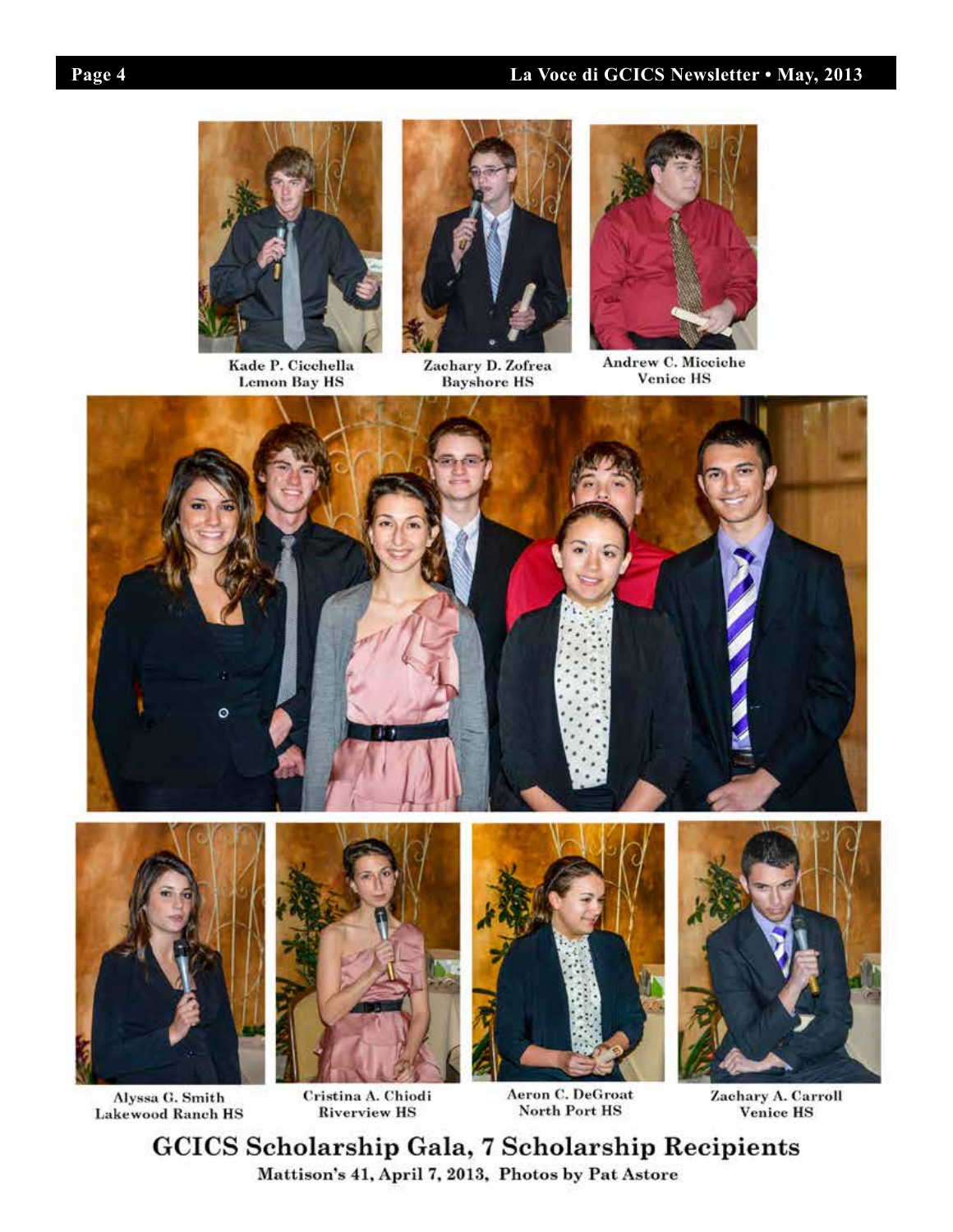I



Kade P. Cicchella **Lemon Bay HS** 



Zachary D. Zofrea<br>Bayshore HS



Andrew C. Micciche **Venice HS** 



Aeron C. DeGroat North Port HS

Zaehary A. Carroll Venice HS

**GCICS Scholarship Gala, 7 Scholarship Recipients** Mattison's 41, April 7, 2013, Photos by Pat Astore

Cristina A. Chiodi

**Riverview HS** 

Alyssa G. Smith

**Lakewood Ranch HS**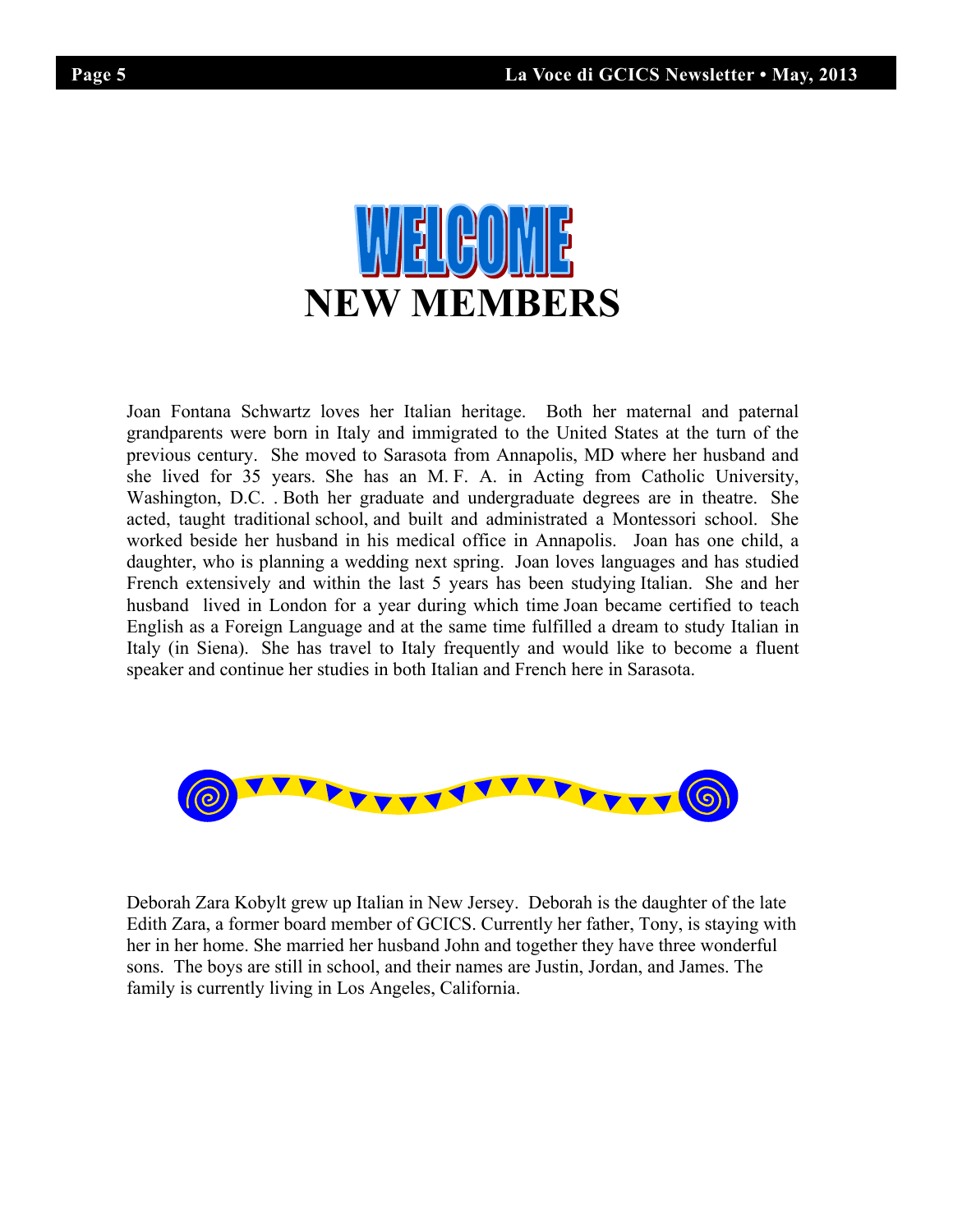

Joan Fontana Schwartz loves her Italian heritage. Both her maternal and paternal grandparents were born in Italy and immigrated to the United States at the turn of the previous century. She moved to Sarasota from Annapolis, MD where her husband and she lived for 35 years. She has an M. F. A. in Acting from Catholic University, Washington, D.C. . Both her graduate and undergraduate degrees are in theatre. She acted, taught traditional school, and built and administrated a Montessori school. She worked beside her husband in his medical office in Annapolis. Joan has one child, a daughter, who is planning a wedding next spring. Joan loves languages and has studied French extensively and within the last 5 years has been studying Italian. She and her husband lived in London for a year during which time Joan became certified to teach English as a Foreign Language and at the same time fulfilled a dream to study Italian in Italy (in Siena). She has travel to Italy frequently and would like to become a fluent speaker and continue her studies in both Italian and French here in Sarasota.



Deborah Zara Kobylt grew up Italian in New Jersey. Deborah is the daughter of the late Edith Zara, a former board member of GCICS. Currently her father, Tony, is staying with her in her home. She married her husband John and together they have three wonderful sons. The boys are still in school, and their names are Justin, Jordan, and James. The family is currently living in Los Angeles, California.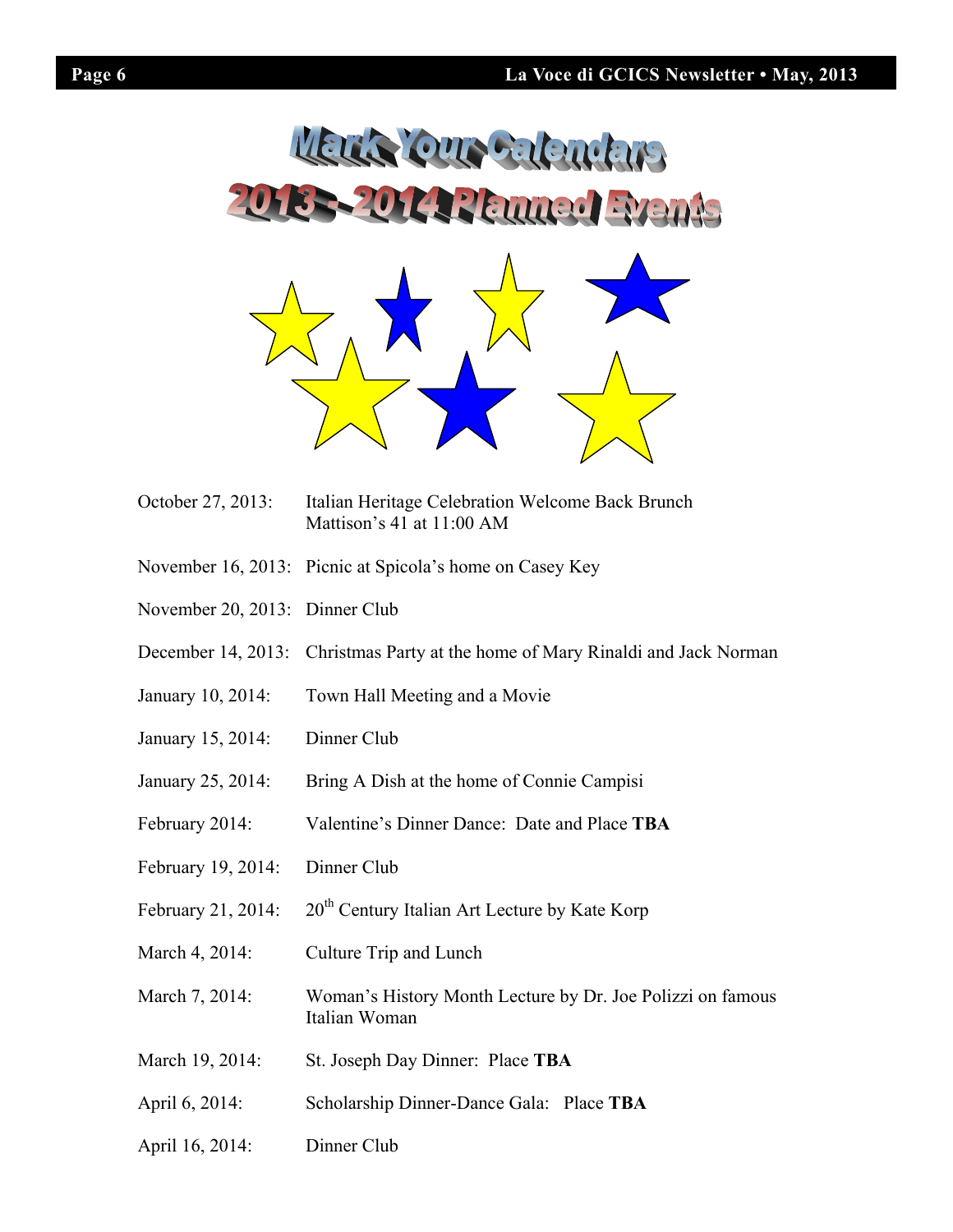

- October 27, 2013: Italian Heritage Celebration Welcome Back Brunch Mattison's 41 at 11:00 AM
- November 16, 2013: Picnic at Spicola's home on Casey Key
- November 20, 2013: Dinner Club
- December 14, 2013: Christmas Party at the home of Mary Rinaldi and Jack Norman
- January 10, 2014: Town Hall Meeting and a Movie
- January 15, 2014: Dinner Club
- January 25, 2014: Bring A Dish at the home of Connie Campisi
- February 2014: Valentine's Dinner Dance: Date and Place **TBA**
- February 19, 2014: Dinner Club
- February 21, 2014:  $20^{th}$  Century Italian Art Lecture by Kate Korp
- March 4, 2014: Culture Trip and Lunch
- March 7, 2014: Woman's History Month Lecture by Dr. Joe Polizzi on famous Italian Woman
- March 19, 2014: St. Joseph Day Dinner: Place **TBA**
- April 6, 2014: Scholarship Dinner-Dance Gala: Place **TBA**
- April 16, 2014: Dinner Club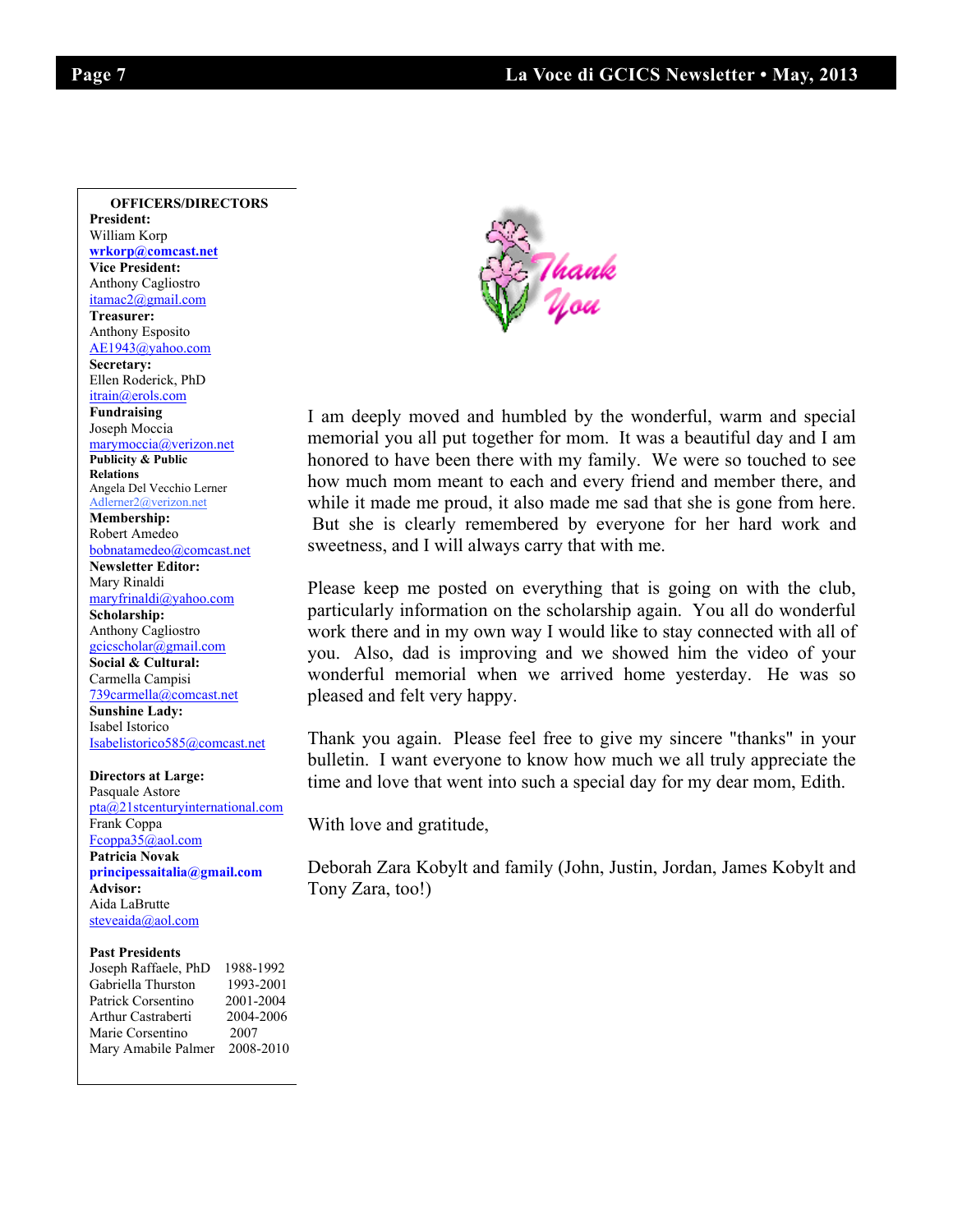**From the Sunshine Lady – Islaming the Sunshine Lady – Islaming Construction**<br> **From Sunshine Lady – Islaming the Sunshine Lady – Islaming Construction OFFICERS/DIRECTORS President:**  William Korp **wrkorp@comcast.net Vice President:** Anthony Cagliostro itamac2@gmail.com **Treasurer:**  Anthony Esposito AE1943@yahoo.com **Secretary:**  Ellen Roderick, PhD itrain@erols.com **Fundraising**  Joseph Moccia marymoccia@verizon.net **Publicity & Public Relations**  Angela Del Vecchio Lerner Adlerner2@verizon.net **Membership:** Robert Amedeo bobnatamedeo@comcast.net **Newsletter Editor:** Mary Rinaldi maryfrinaldi@yahoo.com **Scholarship:** Anthony Cagliostro gcicscholar@gmail.com **Social & Cultural:** Carmella Campisi 739carmella@comcast.net **Sunshine Lady:**  Isabel Istorico Isabelistorico585@comcast.net

Fcoppa35@aol.com a Novak<br>essaitalia@amail.co principessaitalia@gmail.com<br>Advisor: **Directors at Large:**  Pasquale Astore pta@21stcenturyinternational.com Frank Coppa **Patricia Novak Advisor:**  Aida LaBrutte steveaida@aol.com

#### **Past Presidents**

| Joseph Raffaele, PhD | 1988-1992 |
|----------------------|-----------|
| Gabriella Thurston   | 1993-2001 |
| Patrick Corsentino   | 2001-2004 |
| Arthur Castraberti   | 2004-2006 |
| Marie Corsentino     | 2007      |
| Mary Amabile Palmer  | 2008-2010 |



heta ising I am deeply moved and humbled by the wonderful, warm and special Moccia  $\omega$ honored to have been there with my family. We were so touched to see how much mom meant to each and every friend and member there, and while it made me proud, it also made me sad that she is gone from here. But she is clearly remembered by everyone for her hard work and sweetness, and I will always carry that with me.

> Please keep me posted on everything that is going on with the club, particularly information on the scholarship again. You all do wonderful work there and in my own way I would like to stay connected with all of you. Also, dad is improving and we showed him the video of your wonderful memorial when we arrived home yesterday. He was so pleased and felt very happy.

> Thank you again. Please feel free to give my sincere "thanks" in your bulletin. I want everyone to know how much we all truly appreciate the time and love that went into such a special day for my dear mom, Edith.

With love and gratitude,

Deborah Zara Kobylt and family (John, Justin, Jordan, James Kobylt and Tony Zara, too!)